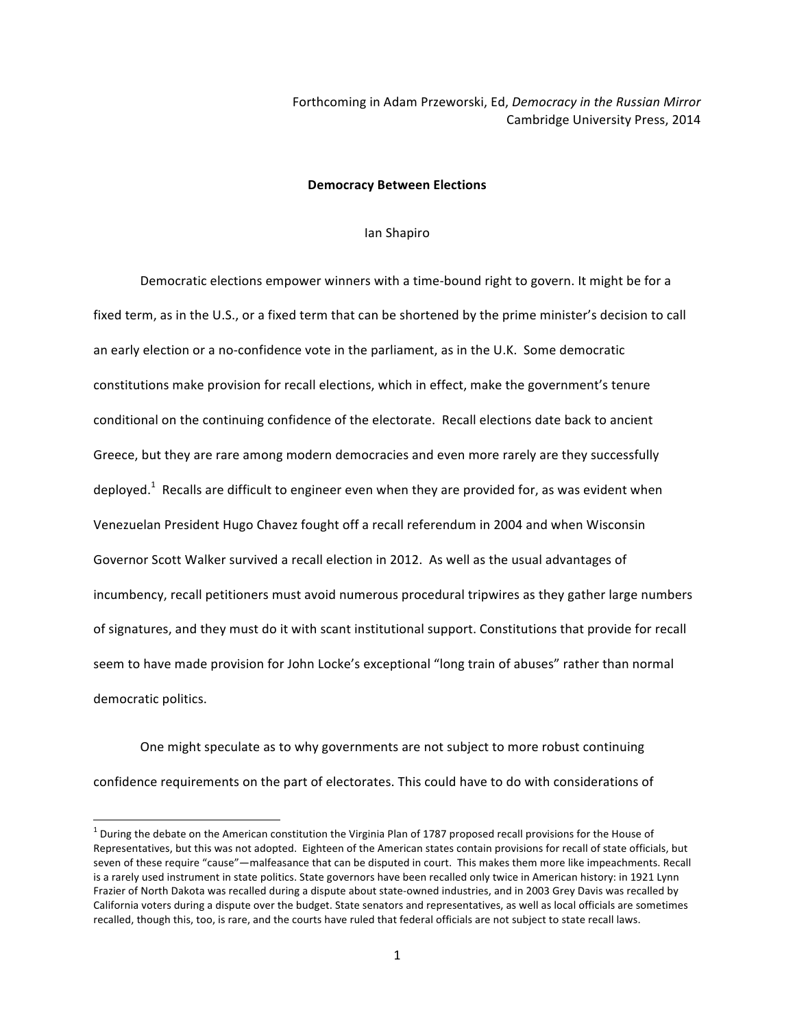Forthcoming in Adam Przeworski, Ed, *Democracy in the Russian Mirror* Cambridge University Press, 2014

## **Democracy Between Elections**

#### Ian Shapiro

Democratic elections empower winners with a time-bound right to govern. It might be for a fixed term, as in the U.S., or a fixed term that can be shortened by the prime minister's decision to call an early election or a no-confidence vote in the parliament, as in the U.K. Some democratic constitutions make provision for recall elections, which in effect, make the government's tenure conditional on the continuing confidence of the electorate. Recall elections date back to ancient Greece, but they are rare among modern democracies and even more rarely are they successfully deployed.<sup>1</sup> Recalls are difficult to engineer even when they are provided for, as was evident when Venezuelan President Hugo Chavez fought off a recall referendum in 2004 and when Wisconsin Governor Scott Walker survived a recall election in 2012. As well as the usual advantages of incumbency, recall petitioners must avoid numerous procedural tripwires as they gather large numbers of signatures, and they must do it with scant institutional support. Constitutions that provide for recall seem to have made provision for John Locke's exceptional "long train of abuses" rather than normal democratic politics.

One might speculate as to why governments are not subject to more robust continuing confidence requirements on the part of electorates. This could have to do with considerations of

 $1$  During the debate on the American constitution the Virginia Plan of 1787 proposed recall provisions for the House of Representatives, but this was not adopted. Eighteen of the American states contain provisions for recall of state officials, but seven of these require "cause"—malfeasance that can be disputed in court. This makes them more like impeachments. Recall is a rarely used instrument in state politics. State governors have been recalled only twice in American history: in 1921 Lynn Frazier of North Dakota was recalled during a dispute about state-owned industries, and in 2003 Grey Davis was recalled by California voters during a dispute over the budget. State senators and representatives, as well as local officials are sometimes recalled, though this, too, is rare, and the courts have ruled that federal officials are not subject to state recall laws.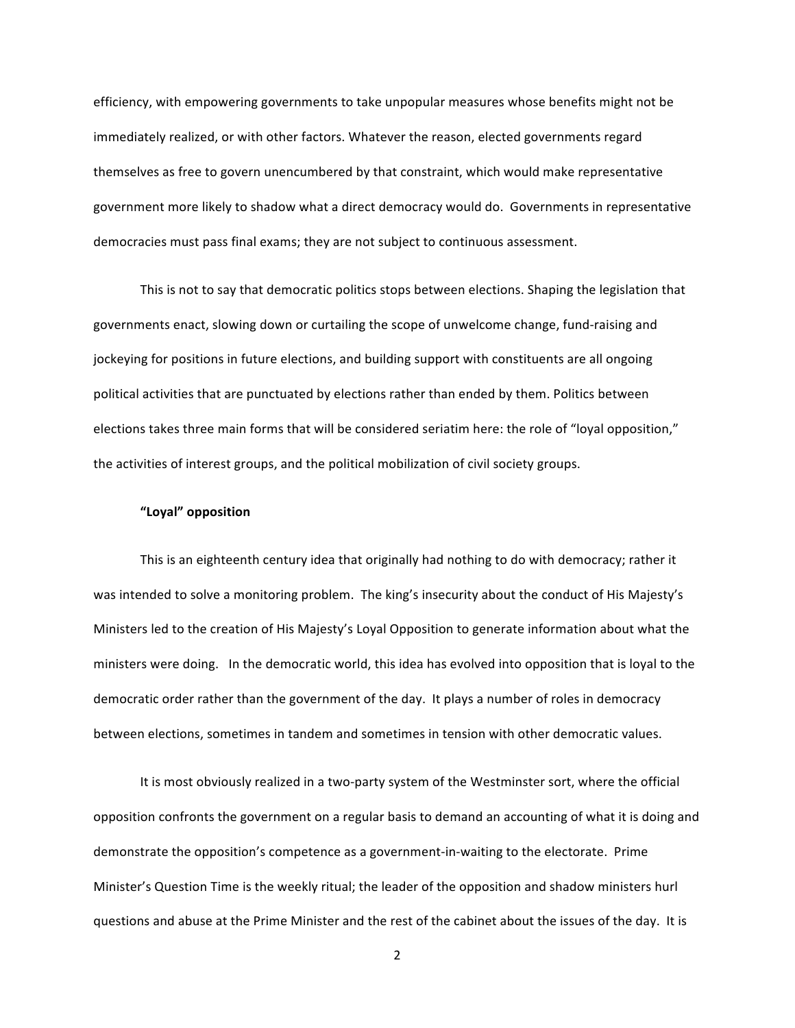efficiency, with empowering governments to take unpopular measures whose benefits might not be immediately realized, or with other factors. Whatever the reason, elected governments regard themselves as free to govern unencumbered by that constraint, which would make representative government more likely to shadow what a direct democracy would do. Governments in representative democracies must pass final exams; they are not subject to continuous assessment.

This is not to say that democratic politics stops between elections. Shaping the legislation that governments enact, slowing down or curtailing the scope of unwelcome change, fund-raising and jockeying for positions in future elections, and building support with constituents are all ongoing political activities that are punctuated by elections rather than ended by them. Politics between elections takes three main forms that will be considered seriatim here: the role of "loyal opposition," the activities of interest groups, and the political mobilization of civil society groups.

# **"Loyal" opposition**

This is an eighteenth century idea that originally had nothing to do with democracy; rather it was intended to solve a monitoring problem. The king's insecurity about the conduct of His Majesty's Ministers led to the creation of His Majesty's Loyal Opposition to generate information about what the ministers were doing. In the democratic world, this idea has evolved into opposition that is loyal to the democratic order rather than the government of the day. It plays a number of roles in democracy between elections, sometimes in tandem and sometimes in tension with other democratic values.

It is most obviously realized in a two-party system of the Westminster sort, where the official opposition confronts the government on a regular basis to demand an accounting of what it is doing and demonstrate the opposition's competence as a government-in-waiting to the electorate. Prime Minister's Question Time is the weekly ritual; the leader of the opposition and shadow ministers hurl questions and abuse at the Prime Minister and the rest of the cabinet about the issues of the day. It is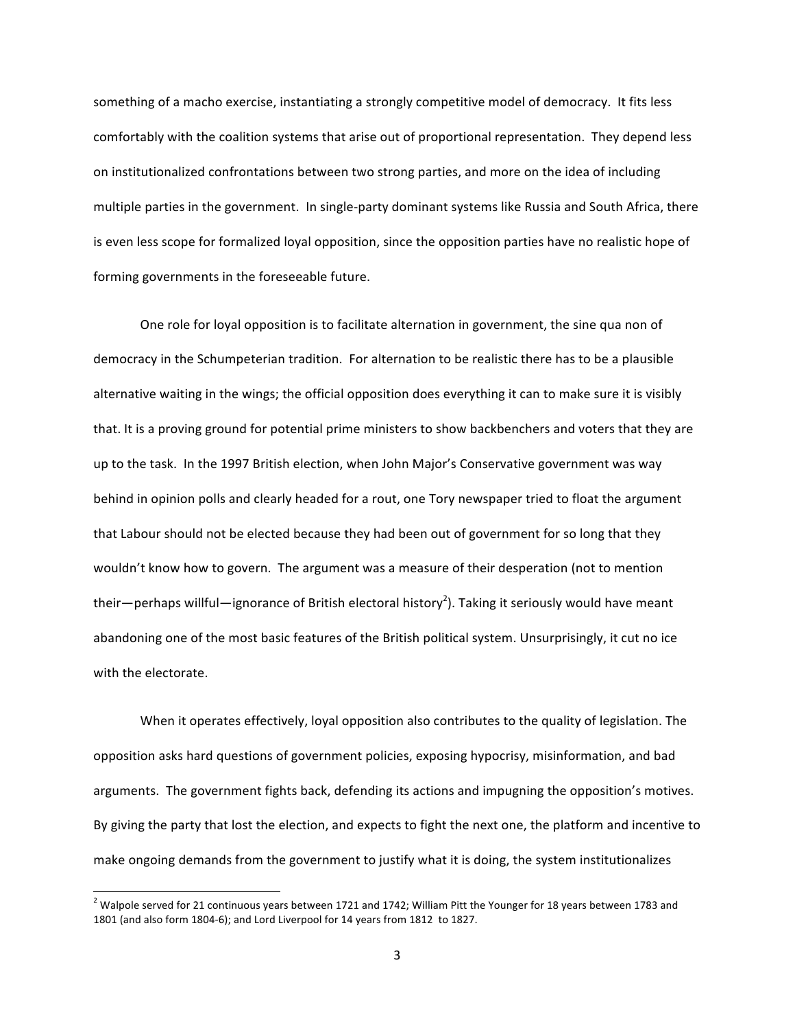something of a macho exercise, instantiating a strongly competitive model of democracy. It fits less comfortably with the coalition systems that arise out of proportional representation. They depend less on institutionalized confrontations between two strong parties, and more on the idea of including multiple parties in the government. In single-party dominant systems like Russia and South Africa, there is even less scope for formalized loyal opposition, since the opposition parties have no realistic hope of forming governments in the foreseeable future.

One role for loyal opposition is to facilitate alternation in government, the sine qua non of democracy in the Schumpeterian tradition. For alternation to be realistic there has to be a plausible alternative waiting in the wings; the official opposition does everything it can to make sure it is visibly that. It is a proving ground for potential prime ministers to show backbenchers and voters that they are up to the task. In the 1997 British election, when John Major's Conservative government was way behind in opinion polls and clearly headed for a rout, one Tory newspaper tried to float the argument that Labour should not be elected because they had been out of government for so long that they wouldn't know how to govern. The argument was a measure of their desperation (not to mention their—perhaps willful—ignorance of British electoral history<sup>2</sup>). Taking it seriously would have meant abandoning one of the most basic features of the British political system. Unsurprisingly, it cut no ice with the electorate.

When it operates effectively, loyal opposition also contributes to the quality of legislation. The opposition asks hard questions of government policies, exposing hypocrisy, misinformation, and bad arguments. The government fights back, defending its actions and impugning the opposition's motives. By giving the party that lost the election, and expects to fight the next one, the platform and incentive to make ongoing demands from the government to justify what it is doing, the system institutionalizes

<sup>&</sup>lt;sup>2</sup> Walpole served for 21 continuous years between 1721 and 1742; William Pitt the Younger for 18 years between 1783 and 1801 (and also form 1804-6); and Lord Liverpool for 14 years from 1812 to 1827.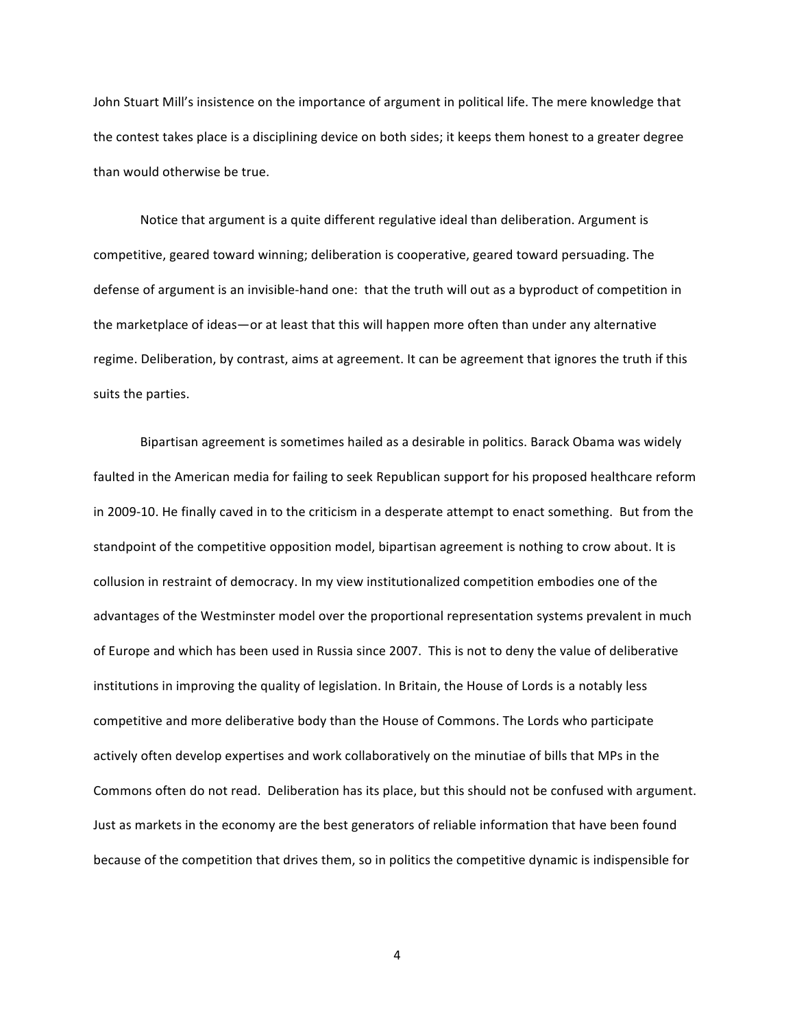John Stuart Mill's insistence on the importance of argument in political life. The mere knowledge that the contest takes place is a disciplining device on both sides; it keeps them honest to a greater degree than would otherwise be true.

Notice that argument is a quite different regulative ideal than deliberation. Argument is competitive, geared toward winning; deliberation is cooperative, geared toward persuading. The defense of argument is an invisible-hand one: that the truth will out as a byproduct of competition in the marketplace of ideas—or at least that this will happen more often than under any alternative regime. Deliberation, by contrast, aims at agreement. It can be agreement that ignores the truth if this suits the parties.

Bipartisan agreement is sometimes hailed as a desirable in politics. Barack Obama was widely faulted in the American media for failing to seek Republican support for his proposed healthcare reform in 2009-10. He finally caved in to the criticism in a desperate attempt to enact something. But from the standpoint of the competitive opposition model, bipartisan agreement is nothing to crow about. It is collusion in restraint of democracy. In my view institutionalized competition embodies one of the advantages of the Westminster model over the proportional representation systems prevalent in much of Europe and which has been used in Russia since 2007. This is not to deny the value of deliberative institutions in improving the quality of legislation. In Britain, the House of Lords is a notably less competitive and more deliberative body than the House of Commons. The Lords who participate actively often develop expertises and work collaboratively on the minutiae of bills that MPs in the Commons often do not read. Deliberation has its place, but this should not be confused with argument. Just as markets in the economy are the best generators of reliable information that have been found because of the competition that drives them, so in politics the competitive dynamic is indispensible for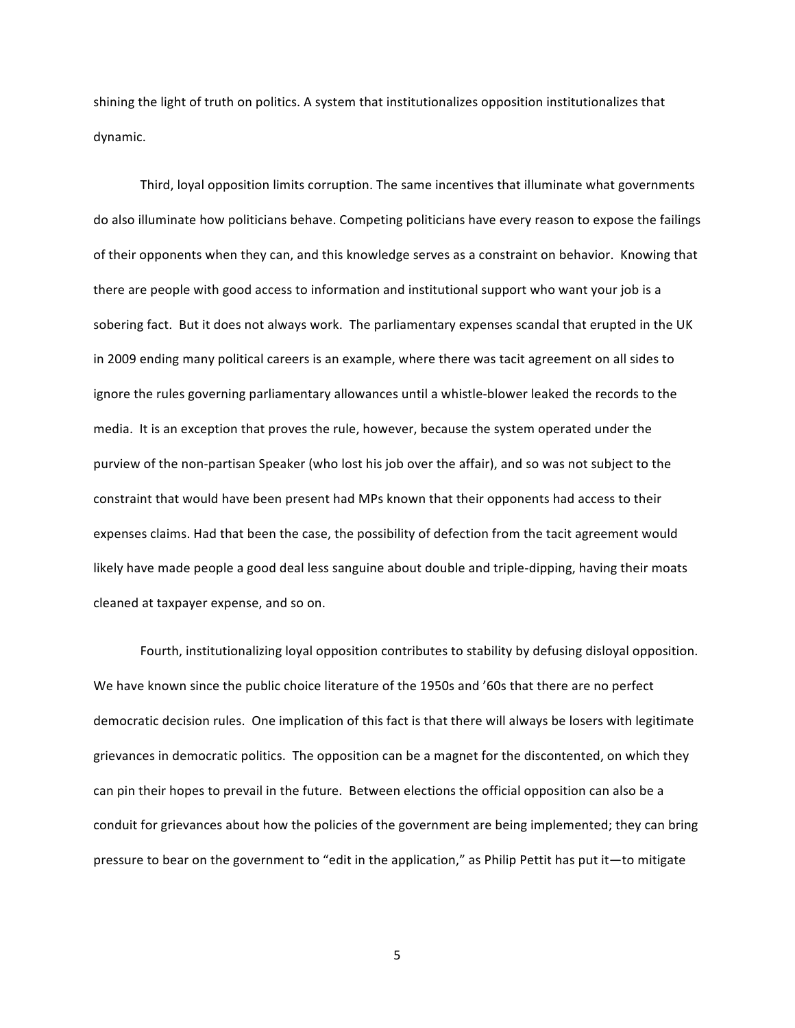shining the light of truth on politics. A system that institutionalizes opposition institutionalizes that dynamic.

Third, loyal opposition limits corruption. The same incentives that illuminate what governments do also illuminate how politicians behave. Competing politicians have every reason to expose the failings of their opponents when they can, and this knowledge serves as a constraint on behavior. Knowing that there are people with good access to information and institutional support who want your job is a sobering fact. But it does not always work. The parliamentary expenses scandal that erupted in the UK in 2009 ending many political careers is an example, where there was tacit agreement on all sides to ignore the rules governing parliamentary allowances until a whistle-blower leaked the records to the media. It is an exception that proves the rule, however, because the system operated under the purview of the non-partisan Speaker (who lost his job over the affair), and so was not subject to the constraint that would have been present had MPs known that their opponents had access to their expenses claims. Had that been the case, the possibility of defection from the tacit agreement would likely have made people a good deal less sanguine about double and triple-dipping, having their moats cleaned at taxpayer expense, and so on.

Fourth, institutionalizing loyal opposition contributes to stability by defusing disloyal opposition. We have known since the public choice literature of the 1950s and '60s that there are no perfect democratic decision rules. One implication of this fact is that there will always be losers with legitimate grievances in democratic politics. The opposition can be a magnet for the discontented, on which they can pin their hopes to prevail in the future. Between elections the official opposition can also be a conduit for grievances about how the policies of the government are being implemented; they can bring pressure to bear on the government to "edit in the application," as Philip Pettit has put it—to mitigate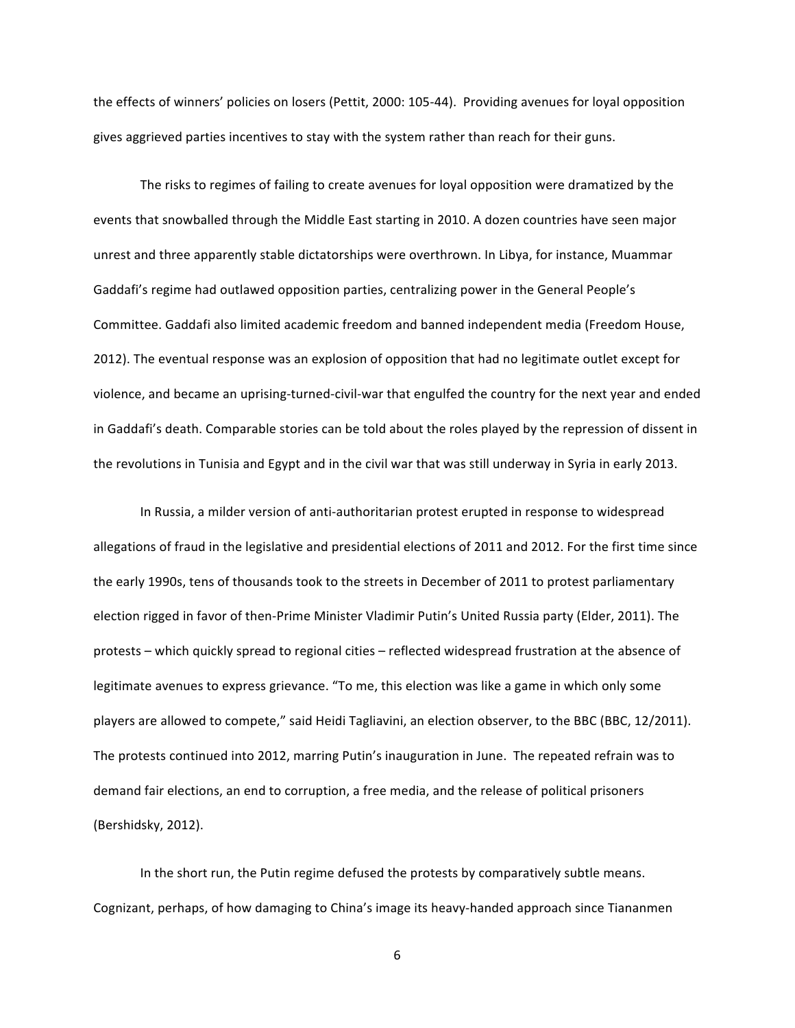the effects of winners' policies on losers (Pettit, 2000: 105-44). Providing avenues for loyal opposition gives aggrieved parties incentives to stay with the system rather than reach for their guns.

The risks to regimes of failing to create avenues for loyal opposition were dramatized by the events that snowballed through the Middle East starting in 2010. A dozen countries have seen major unrest and three apparently stable dictatorships were overthrown. In Libya, for instance, Muammar Gaddafi's regime had outlawed opposition parties, centralizing power in the General People's Committee. Gaddafi also limited academic freedom and banned independent media (Freedom House, 2012). The eventual response was an explosion of opposition that had no legitimate outlet except for violence, and became an uprising-turned-civil-war that engulfed the country for the next year and ended in Gaddafi's death. Comparable stories can be told about the roles played by the repression of dissent in the revolutions in Tunisia and Egypt and in the civil war that was still underway in Syria in early 2013.

In Russia, a milder version of anti-authoritarian protest erupted in response to widespread allegations of fraud in the legislative and presidential elections of 2011 and 2012. For the first time since the early 1990s, tens of thousands took to the streets in December of 2011 to protest parliamentary election rigged in favor of then-Prime Minister Vladimir Putin's United Russia party (Elder, 2011). The protests – which quickly spread to regional cities – reflected widespread frustration at the absence of legitimate avenues to express grievance. "To me, this election was like a game in which only some players are allowed to compete," said Heidi Tagliavini, an election observer, to the BBC (BBC, 12/2011). The protests continued into 2012, marring Putin's inauguration in June. The repeated refrain was to demand fair elections, an end to corruption, a free media, and the release of political prisoners (Bershidsky, 2012).

In the short run, the Putin regime defused the protests by comparatively subtle means. Cognizant, perhaps, of how damaging to China's image its heavy-handed approach since Tiananmen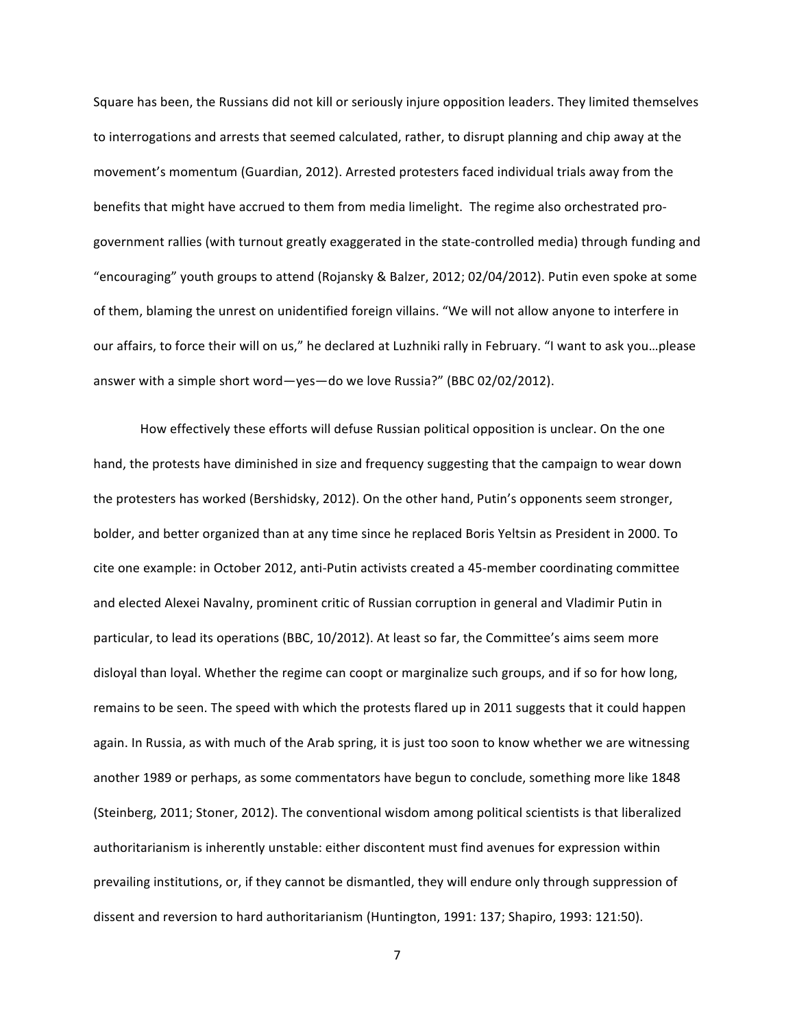Square has been, the Russians did not kill or seriously injure opposition leaders. They limited themselves to interrogations and arrests that seemed calculated, rather, to disrupt planning and chip away at the movement's momentum (Guardian, 2012). Arrested protesters faced individual trials away from the benefits that might have accrued to them from media limelight. The regime also orchestrated progovernment rallies (with turnout greatly exaggerated in the state-controlled media) through funding and "encouraging" youth groups to attend (Rojansky & Balzer, 2012; 02/04/2012). Putin even spoke at some of them, blaming the unrest on unidentified foreign villains. "We will not allow anyone to interfere in our affairs, to force their will on us," he declared at Luzhniki rally in February. "I want to ask you...please answer with a simple short word—yes—do we love Russia?" (BBC 02/02/2012).

How effectively these efforts will defuse Russian political opposition is unclear. On the one hand, the protests have diminished in size and frequency suggesting that the campaign to wear down the protesters has worked (Bershidsky, 2012). On the other hand, Putin's opponents seem stronger, bolder, and better organized than at any time since he replaced Boris Yeltsin as President in 2000. To cite one example: in October 2012, anti-Putin activists created a 45-member coordinating committee and elected Alexei Navalny, prominent critic of Russian corruption in general and Vladimir Putin in particular, to lead its operations (BBC, 10/2012). At least so far, the Committee's aims seem more disloyal than loyal. Whether the regime can coopt or marginalize such groups, and if so for how long, remains to be seen. The speed with which the protests flared up in 2011 suggests that it could happen again. In Russia, as with much of the Arab spring, it is just too soon to know whether we are witnessing another 1989 or perhaps, as some commentators have begun to conclude, something more like 1848 (Steinberg, 2011; Stoner, 2012). The conventional wisdom among political scientists is that liberalized authoritarianism is inherently unstable: either discontent must find avenues for expression within prevailing institutions, or, if they cannot be dismantled, they will endure only through suppression of dissent and reversion to hard authoritarianism (Huntington, 1991: 137; Shapiro, 1993: 121:50).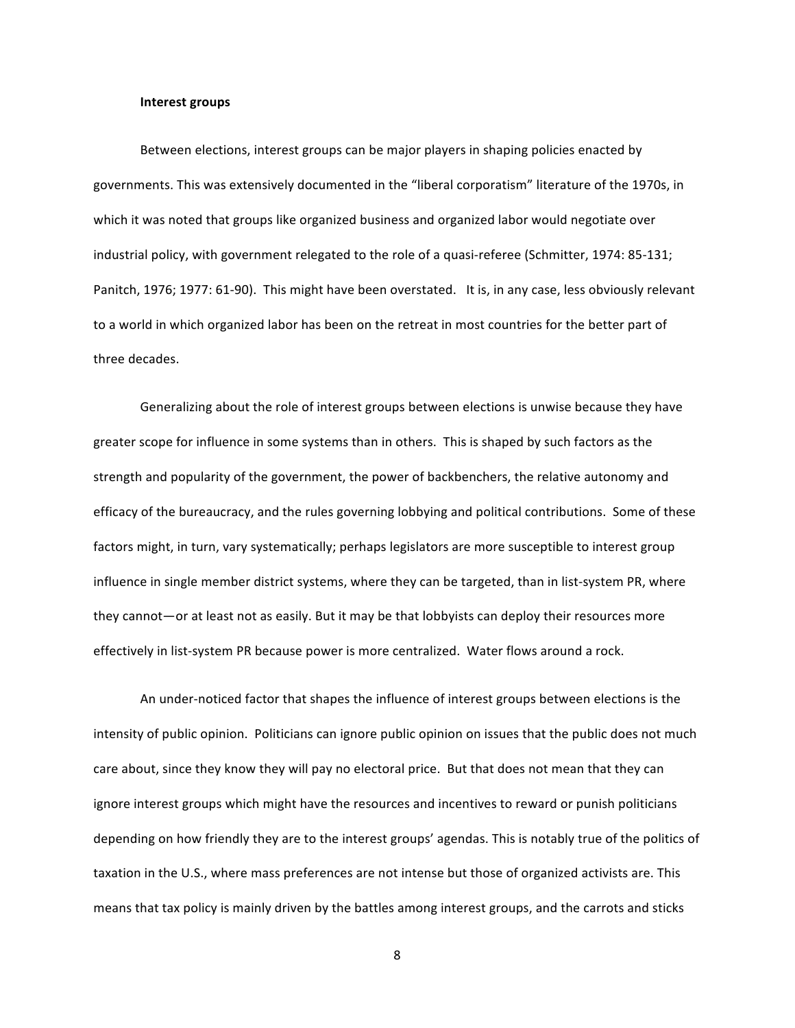#### **Interest groups**

Between elections, interest groups can be major players in shaping policies enacted by governments. This was extensively documented in the "liberal corporatism" literature of the 1970s, in which it was noted that groups like organized business and organized labor would negotiate over industrial policy, with government relegated to the role of a quasi-referee (Schmitter, 1974: 85-131; Panitch, 1976; 1977: 61-90). This might have been overstated. It is, in any case, less obviously relevant to a world in which organized labor has been on the retreat in most countries for the better part of three decades.

Generalizing about the role of interest groups between elections is unwise because they have greater scope for influence in some systems than in others. This is shaped by such factors as the strength and popularity of the government, the power of backbenchers, the relative autonomy and efficacy of the bureaucracy, and the rules governing lobbying and political contributions. Some of these factors might, in turn, vary systematically; perhaps legislators are more susceptible to interest group influence in single member district systems, where they can be targeted, than in list-system PR, where they cannot—or at least not as easily. But it may be that lobbyists can deploy their resources more effectively in list-system PR because power is more centralized. Water flows around a rock.

An under-noticed factor that shapes the influence of interest groups between elections is the intensity of public opinion. Politicians can ignore public opinion on issues that the public does not much care about, since they know they will pay no electoral price. But that does not mean that they can ignore interest groups which might have the resources and incentives to reward or punish politicians depending on how friendly they are to the interest groups' agendas. This is notably true of the politics of taxation in the U.S., where mass preferences are not intense but those of organized activists are. This means that tax policy is mainly driven by the battles among interest groups, and the carrots and sticks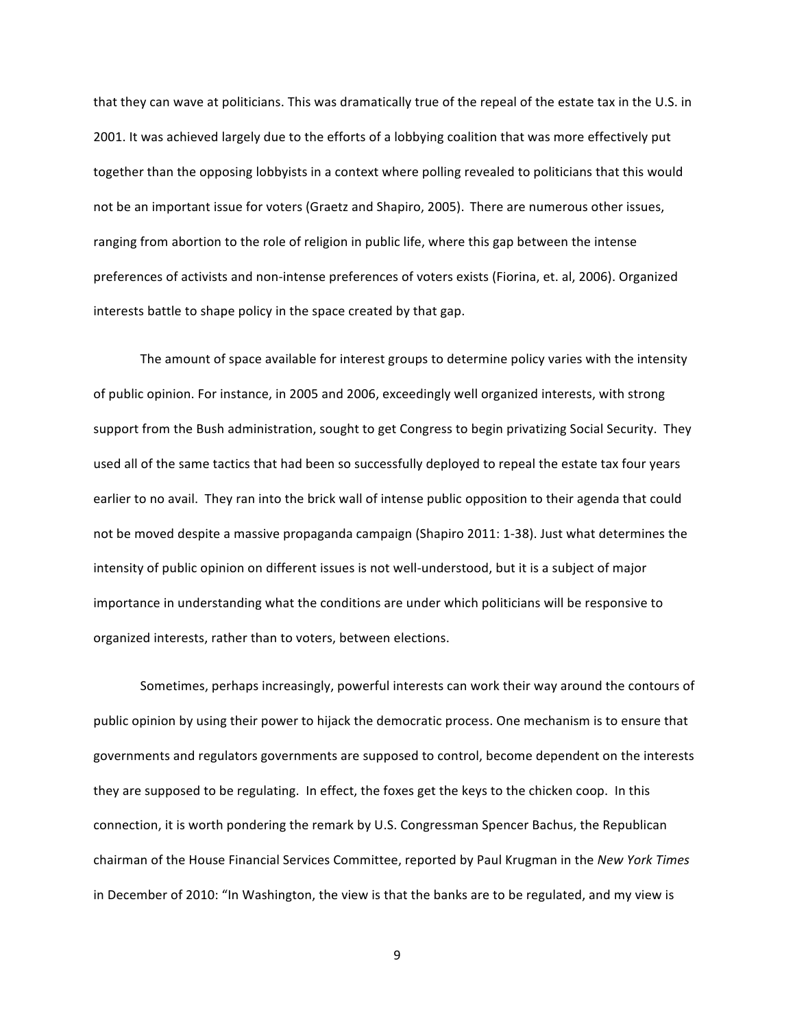that they can wave at politicians. This was dramatically true of the repeal of the estate tax in the U.S. in 2001. It was achieved largely due to the efforts of a lobbying coalition that was more effectively put together than the opposing lobbyists in a context where polling revealed to politicians that this would not be an important issue for voters (Graetz and Shapiro, 2005). There are numerous other issues, ranging from abortion to the role of religion in public life, where this gap between the intense preferences of activists and non-intense preferences of voters exists (Fiorina, et. al, 2006). Organized interests battle to shape policy in the space created by that gap.

The amount of space available for interest groups to determine policy varies with the intensity of public opinion. For instance, in 2005 and 2006, exceedingly well organized interests, with strong support from the Bush administration, sought to get Congress to begin privatizing Social Security. They used all of the same tactics that had been so successfully deployed to repeal the estate tax four years earlier to no avail. They ran into the brick wall of intense public opposition to their agenda that could not be moved despite a massive propaganda campaign (Shapiro 2011: 1-38). Just what determines the intensity of public opinion on different issues is not well-understood, but it is a subject of major importance in understanding what the conditions are under which politicians will be responsive to organized interests, rather than to voters, between elections.

Sometimes, perhaps increasingly, powerful interests can work their way around the contours of public opinion by using their power to hijack the democratic process. One mechanism is to ensure that governments and regulators governments are supposed to control, become dependent on the interests they are supposed to be regulating. In effect, the foxes get the keys to the chicken coop. In this connection, it is worth pondering the remark by U.S. Congressman Spencer Bachus, the Republican chairman of the House Financial Services Committee, reported by Paul Krugman in the *New York Times* in December of 2010: "In Washington, the view is that the banks are to be regulated, and my view is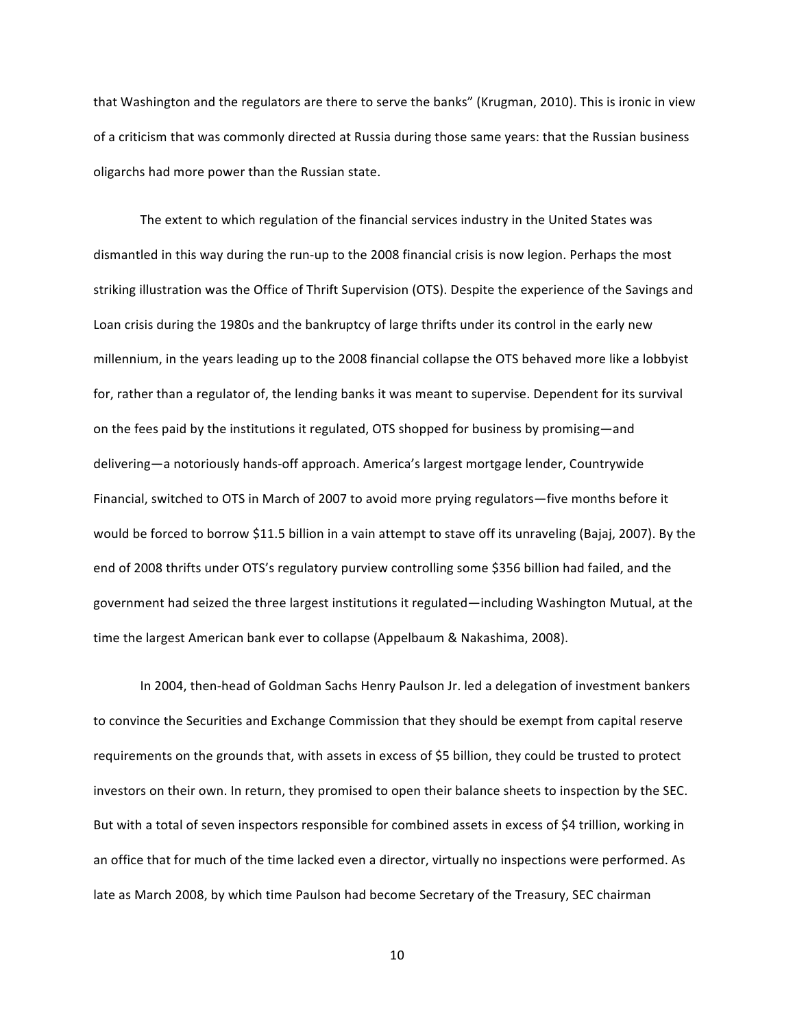that Washington and the regulators are there to serve the banks" (Krugman, 2010). This is ironic in view of a criticism that was commonly directed at Russia during those same years: that the Russian business oligarchs had more power than the Russian state.

The extent to which regulation of the financial services industry in the United States was dismantled in this way during the run-up to the 2008 financial crisis is now legion. Perhaps the most striking illustration was the Office of Thrift Supervision (OTS). Despite the experience of the Savings and Loan crisis during the 1980s and the bankruptcy of large thrifts under its control in the early new millennium, in the years leading up to the 2008 financial collapse the OTS behaved more like a lobbyist for, rather than a regulator of, the lending banks it was meant to supervise. Dependent for its survival on the fees paid by the institutions it regulated, OTS shopped for business by promising—and delivering—a notoriously hands-off approach. America's largest mortgage lender, Countrywide Financial, switched to OTS in March of 2007 to avoid more prying regulators—five months before it would be forced to borrow \$11.5 billion in a vain attempt to stave off its unraveling (Bajaj, 2007). By the end of 2008 thrifts under OTS's regulatory purview controlling some \$356 billion had failed, and the government had seized the three largest institutions it regulated—including Washington Mutual, at the time the largest American bank ever to collapse (Appelbaum & Nakashima, 2008).

In 2004, then-head of Goldman Sachs Henry Paulson Jr. led a delegation of investment bankers to convince the Securities and Exchange Commission that they should be exempt from capital reserve requirements on the grounds that, with assets in excess of \$5 billion, they could be trusted to protect investors on their own. In return, they promised to open their balance sheets to inspection by the SEC. But with a total of seven inspectors responsible for combined assets in excess of \$4 trillion, working in an office that for much of the time lacked even a director, virtually no inspections were performed. As late as March 2008, by which time Paulson had become Secretary of the Treasury, SEC chairman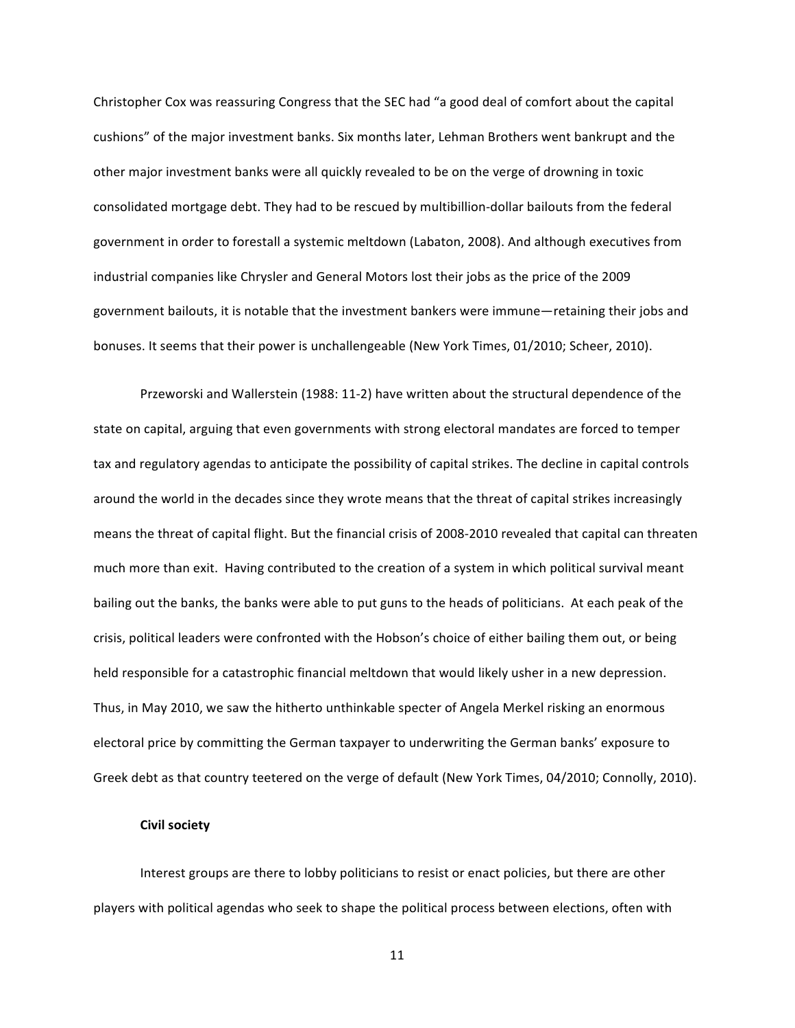Christopher Cox was reassuring Congress that the SEC had "a good deal of comfort about the capital cushions" of the major investment banks. Six months later, Lehman Brothers went bankrupt and the other major investment banks were all quickly revealed to be on the verge of drowning in toxic consolidated mortgage debt. They had to be rescued by multibillion-dollar bailouts from the federal government in order to forestall a systemic meltdown (Labaton, 2008). And although executives from industrial companies like Chrysler and General Motors lost their jobs as the price of the 2009 government bailouts, it is notable that the investment bankers were immune—retaining their jobs and bonuses. It seems that their power is unchallengeable (New York Times, 01/2010; Scheer, 2010).

Przeworski and Wallerstein (1988: 11-2) have written about the structural dependence of the state on capital, arguing that even governments with strong electoral mandates are forced to temper tax and regulatory agendas to anticipate the possibility of capital strikes. The decline in capital controls around the world in the decades since they wrote means that the threat of capital strikes increasingly means the threat of capital flight. But the financial crisis of 2008-2010 revealed that capital can threaten much more than exit. Having contributed to the creation of a system in which political survival meant bailing out the banks, the banks were able to put guns to the heads of politicians. At each peak of the crisis, political leaders were confronted with the Hobson's choice of either bailing them out, or being held responsible for a catastrophic financial meltdown that would likely usher in a new depression. Thus, in May 2010, we saw the hitherto unthinkable specter of Angela Merkel risking an enormous electoral price by committing the German taxpayer to underwriting the German banks' exposure to Greek debt as that country teetered on the verge of default (New York Times, 04/2010; Connolly, 2010).

### **Civil society**

Interest groups are there to lobby politicians to resist or enact policies, but there are other players with political agendas who seek to shape the political process between elections, often with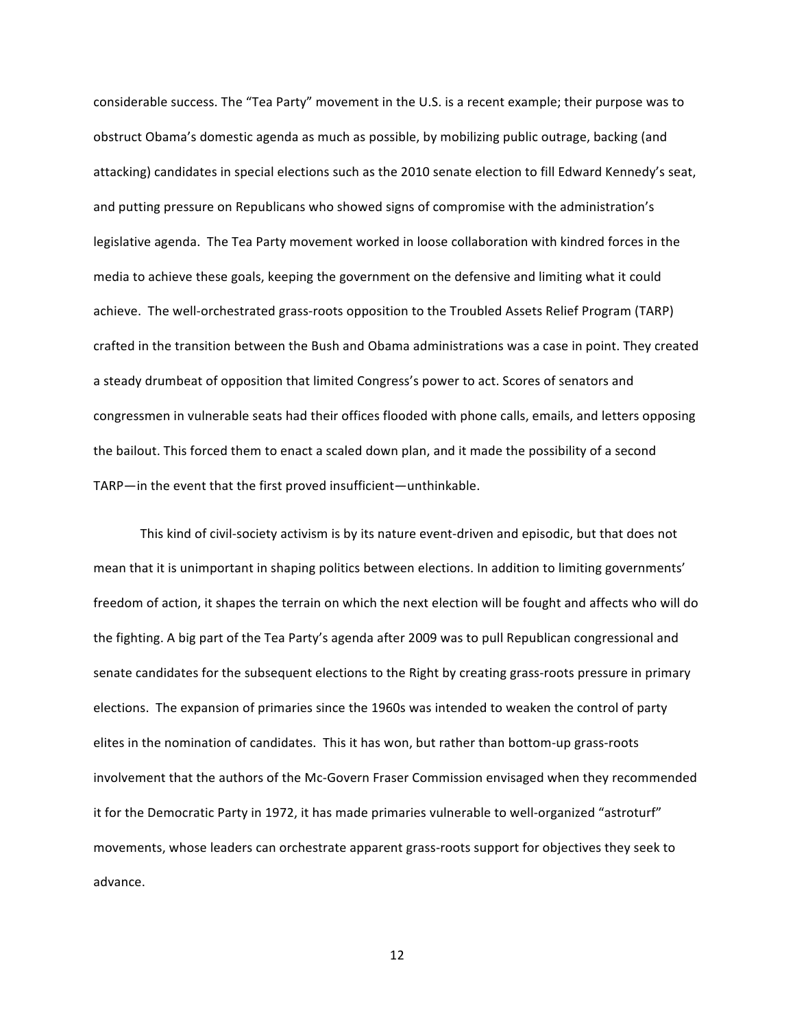considerable success. The "Tea Party" movement in the U.S. is a recent example; their purpose was to obstruct Obama's domestic agenda as much as possible, by mobilizing public outrage, backing (and attacking) candidates in special elections such as the 2010 senate election to fill Edward Kennedy's seat, and putting pressure on Republicans who showed signs of compromise with the administration's legislative agenda. The Tea Party movement worked in loose collaboration with kindred forces in the media to achieve these goals, keeping the government on the defensive and limiting what it could achieve. The well-orchestrated grass-roots opposition to the Troubled Assets Relief Program (TARP) crafted in the transition between the Bush and Obama administrations was a case in point. They created a steady drumbeat of opposition that limited Congress's power to act. Scores of senators and congressmen in vulnerable seats had their offices flooded with phone calls, emails, and letters opposing the bailout. This forced them to enact a scaled down plan, and it made the possibility of a second TARP-in the event that the first proved insufficient-unthinkable.

This kind of civil-society activism is by its nature event-driven and episodic, but that does not mean that it is unimportant in shaping politics between elections. In addition to limiting governments' freedom of action, it shapes the terrain on which the next election will be fought and affects who will do the fighting. A big part of the Tea Party's agenda after 2009 was to pull Republican congressional and senate candidates for the subsequent elections to the Right by creating grass-roots pressure in primary elections. The expansion of primaries since the 1960s was intended to weaken the control of party elites in the nomination of candidates. This it has won, but rather than bottom-up grass-roots involvement that the authors of the Mc-Govern Fraser Commission envisaged when they recommended it for the Democratic Party in 1972, it has made primaries vulnerable to well-organized "astroturf" movements, whose leaders can orchestrate apparent grass-roots support for objectives they seek to advance.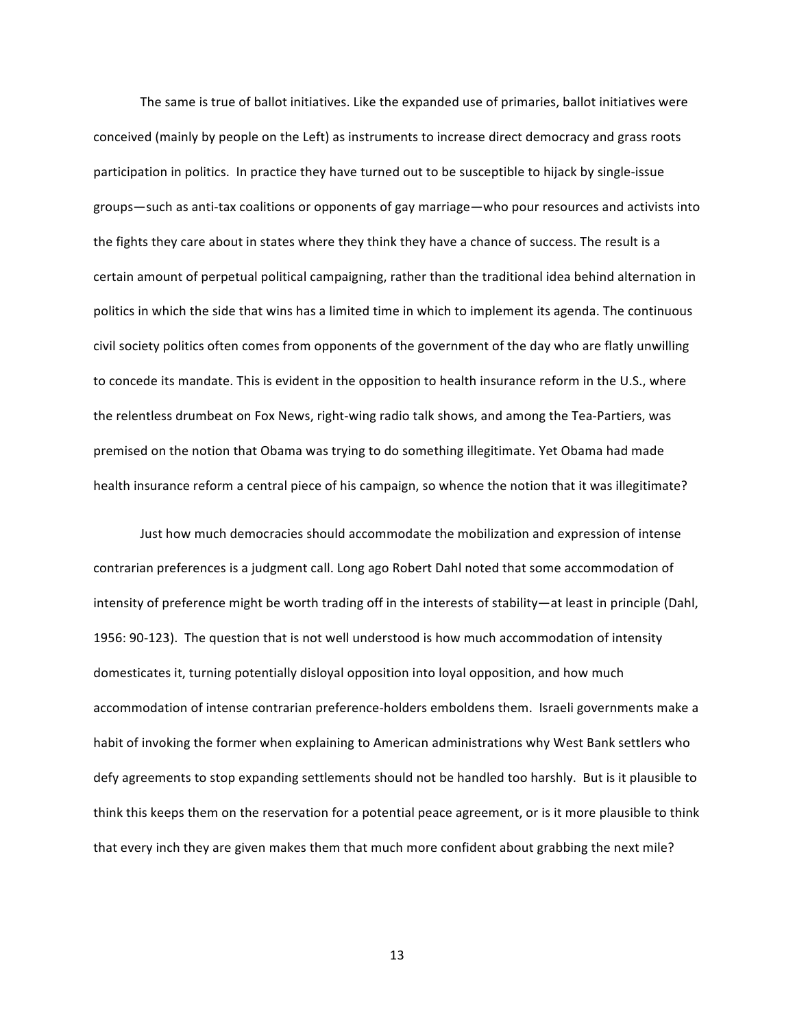The same is true of ballot initiatives. Like the expanded use of primaries, ballot initiatives were conceived (mainly by people on the Left) as instruments to increase direct democracy and grass roots participation in politics. In practice they have turned out to be susceptible to hijack by single-issue groups—such as anti-tax coalitions or opponents of gay marriage—who pour resources and activists into the fights they care about in states where they think they have a chance of success. The result is a certain amount of perpetual political campaigning, rather than the traditional idea behind alternation in politics in which the side that wins has a limited time in which to implement its agenda. The continuous civil society politics often comes from opponents of the government of the day who are flatly unwilling to concede its mandate. This is evident in the opposition to health insurance reform in the U.S., where the relentless drumbeat on Fox News, right-wing radio talk shows, and among the Tea-Partiers, was premised on the notion that Obama was trying to do something illegitimate. Yet Obama had made health insurance reform a central piece of his campaign, so whence the notion that it was illegitimate?

Just how much democracies should accommodate the mobilization and expression of intense contrarian preferences is a judgment call. Long ago Robert Dahl noted that some accommodation of intensity of preference might be worth trading off in the interests of stability—at least in principle (Dahl, 1956: 90-123). The question that is not well understood is how much accommodation of intensity domesticates it, turning potentially disloyal opposition into loyal opposition, and how much accommodation of intense contrarian preference-holders emboldens them. Israeli governments make a habit of invoking the former when explaining to American administrations why West Bank settlers who defy agreements to stop expanding settlements should not be handled too harshly. But is it plausible to think this keeps them on the reservation for a potential peace agreement, or is it more plausible to think that every inch they are given makes them that much more confident about grabbing the next mile?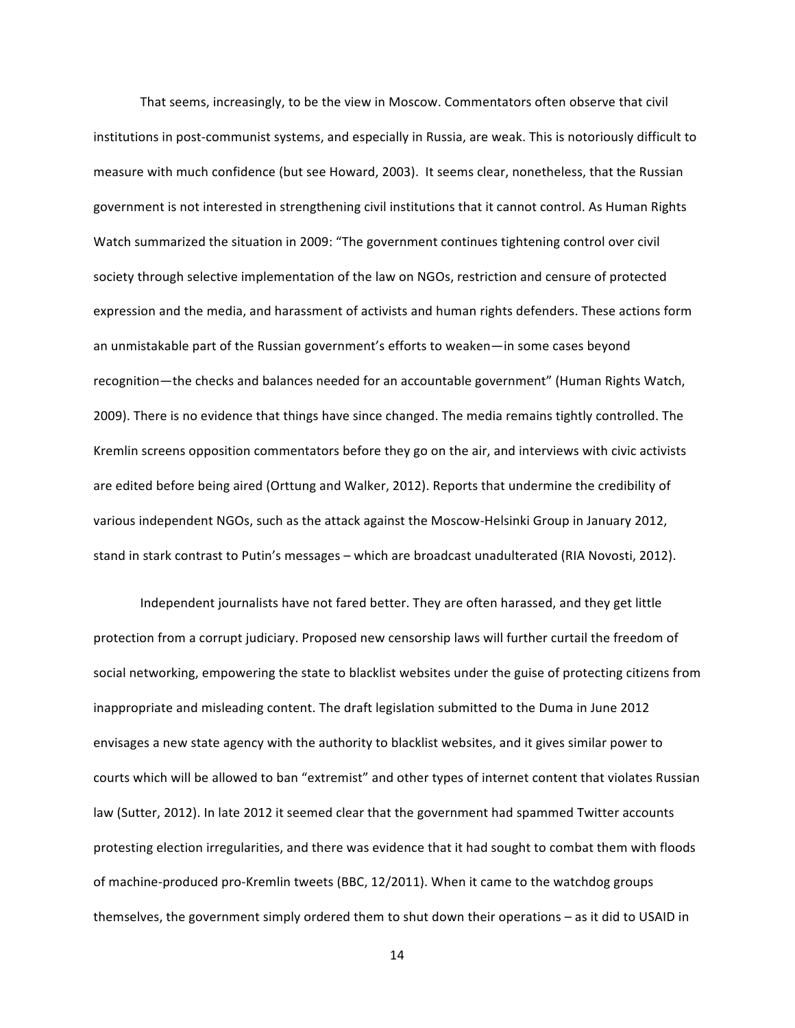That seems, increasingly, to be the view in Moscow. Commentators often observe that civil institutions in post-communist systems, and especially in Russia, are weak. This is notoriously difficult to measure with much confidence (but see Howard, 2003). It seems clear, nonetheless, that the Russian government is not interested in strengthening civil institutions that it cannot control. As Human Rights Watch summarized the situation in 2009: "The government continues tightening control over civil society through selective implementation of the law on NGOs, restriction and censure of protected expression and the media, and harassment of activists and human rights defenders. These actions form an unmistakable part of the Russian government's efforts to weaken—in some cases beyond recognition—the checks and balances needed for an accountable government" (Human Rights Watch, 2009). There is no evidence that things have since changed. The media remains tightly controlled. The Kremlin screens opposition commentators before they go on the air, and interviews with civic activists are edited before being aired (Orttung and Walker, 2012). Reports that undermine the credibility of various independent NGOs, such as the attack against the Moscow-Helsinki Group in January 2012, stand in stark contrast to Putin's messages - which are broadcast unadulterated (RIA Novosti, 2012).

Independent journalists have not fared better. They are often harassed, and they get little protection from a corrupt judiciary. Proposed new censorship laws will further curtail the freedom of social networking, empowering the state to blacklist websites under the guise of protecting citizens from inappropriate and misleading content. The draft legislation submitted to the Duma in June 2012 envisages a new state agency with the authority to blacklist websites, and it gives similar power to courts which will be allowed to ban "extremist" and other types of internet content that violates Russian law (Sutter, 2012). In late 2012 it seemed clear that the government had spammed Twitter accounts protesting election irregularities, and there was evidence that it had sought to combat them with floods of machine-produced pro-Kremlin tweets (BBC, 12/2011). When it came to the watchdog groups themselves, the government simply ordered them to shut down their operations  $-$  as it did to USAID in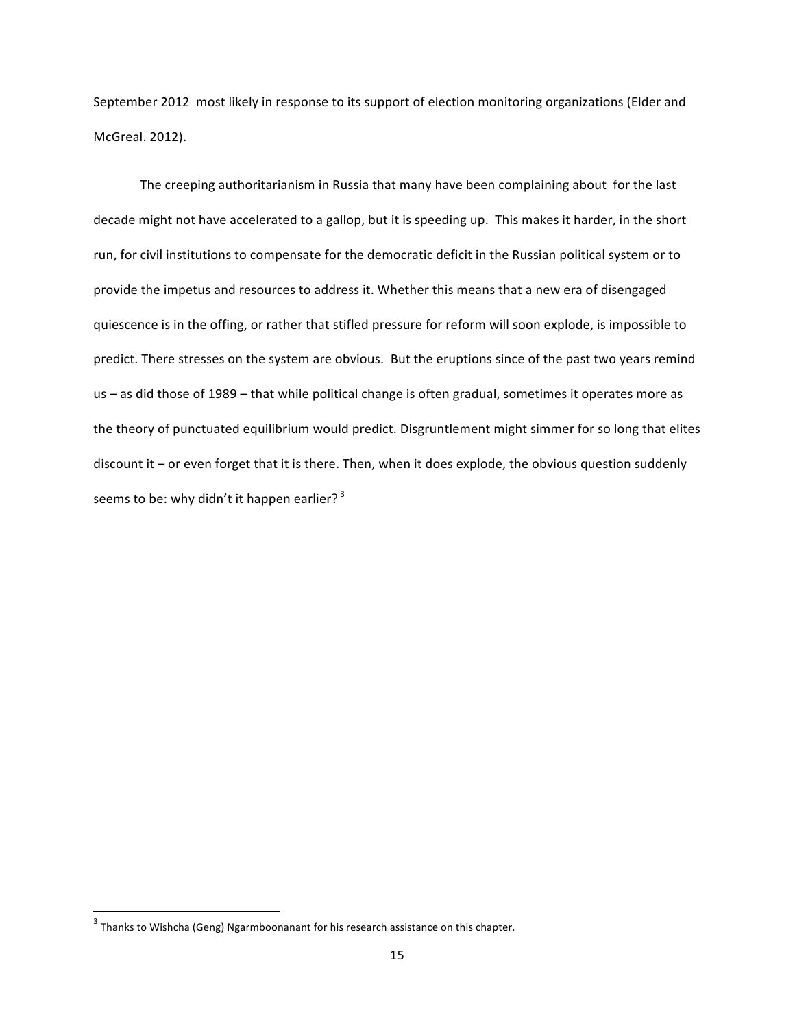September 2012 most likely in response to its support of election monitoring organizations (Elder and McGreal. 2012).

The creeping authoritarianism in Russia that many have been complaining about for the last decade might not have accelerated to a gallop, but it is speeding up. This makes it harder, in the short run, for civil institutions to compensate for the democratic deficit in the Russian political system or to provide the impetus and resources to address it. Whether this means that a new era of disengaged quiescence is in the offing, or rather that stifled pressure for reform will soon explode, is impossible to predict. There stresses on the system are obvious. But the eruptions since of the past two years remind us – as did those of 1989 – that while political change is often gradual, sometimes it operates more as the theory of punctuated equilibrium would predict. Disgruntlement might simmer for so long that elites discount it – or even forget that it is there. Then, when it does explode, the obvious question suddenly seems to be: why didn't it happen earlier?<sup>3</sup>

<u> 1989 - Johann Stein, fransk politik (d. 1989)</u>

 $3$  Thanks to Wishcha (Geng) Ngarmboonanant for his research assistance on this chapter.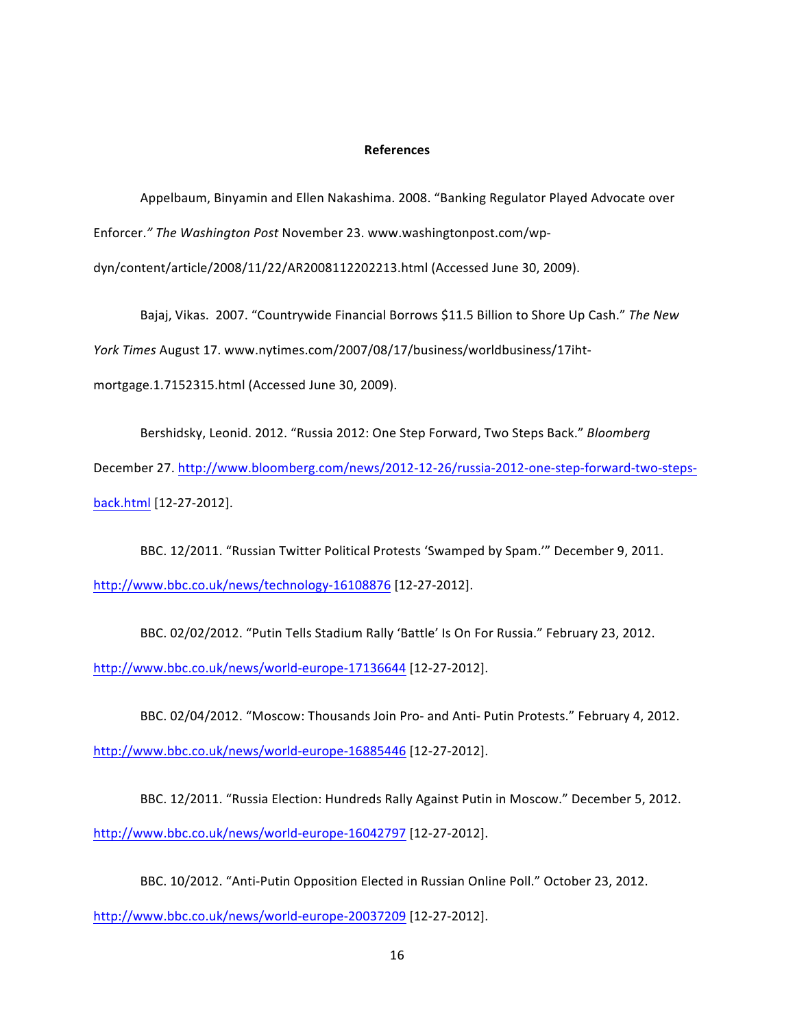## **References**

Appelbaum, Binyamin and Ellen Nakashima. 2008. "Banking Regulator Played Advocate over Enforcer." The Washington Post November 23. www.washingtonpost.com/wp-

dyn/content/article/2008/11/22/AR2008112202213.html (Accessed June 30, 2009).

Bajaj, Vikas. 2007. "Countrywide Financial Borrows \$11.5 Billion to Shore Up Cash." The New *York Times* August 17. www.nytimes.com/2007/08/17/business/worldbusiness/17ihtmortgage.1.7152315.html (Accessed June 30, 2009).

Bershidsky, Leonid. 2012. "Russia 2012: One Step Forward, Two Steps Back." Bloomberg December 27. http://www.bloomberg.com/news/2012-12-26/russia-2012-one-step-forward-two-stepsback.html [12-27-2012].

BBC. 12/2011. "Russian Twitter Political Protests 'Swamped by Spam."" December 9, 2011. http://www.bbc.co.uk/news/technology-16108876 [12-27-2012].

BBC. 02/02/2012. "Putin Tells Stadium Rally 'Battle' Is On For Russia." February 23, 2012. http://www.bbc.co.uk/news/world-europe-17136644 [12-27-2012].

BBC. 02/04/2012. "Moscow: Thousands Join Pro- and Anti- Putin Protests." February 4, 2012. http://www.bbc.co.uk/news/world-europe-16885446 [12-27-2012].

BBC. 12/2011. "Russia Election: Hundreds Rally Against Putin in Moscow." December 5, 2012. http://www.bbc.co.uk/news/world-europe-16042797 [12-27-2012].

BBC. 10/2012. "Anti-Putin Opposition Elected in Russian Online Poll." October 23, 2012.

http://www.bbc.co.uk/news/world-europe-20037209 [12-27-2012].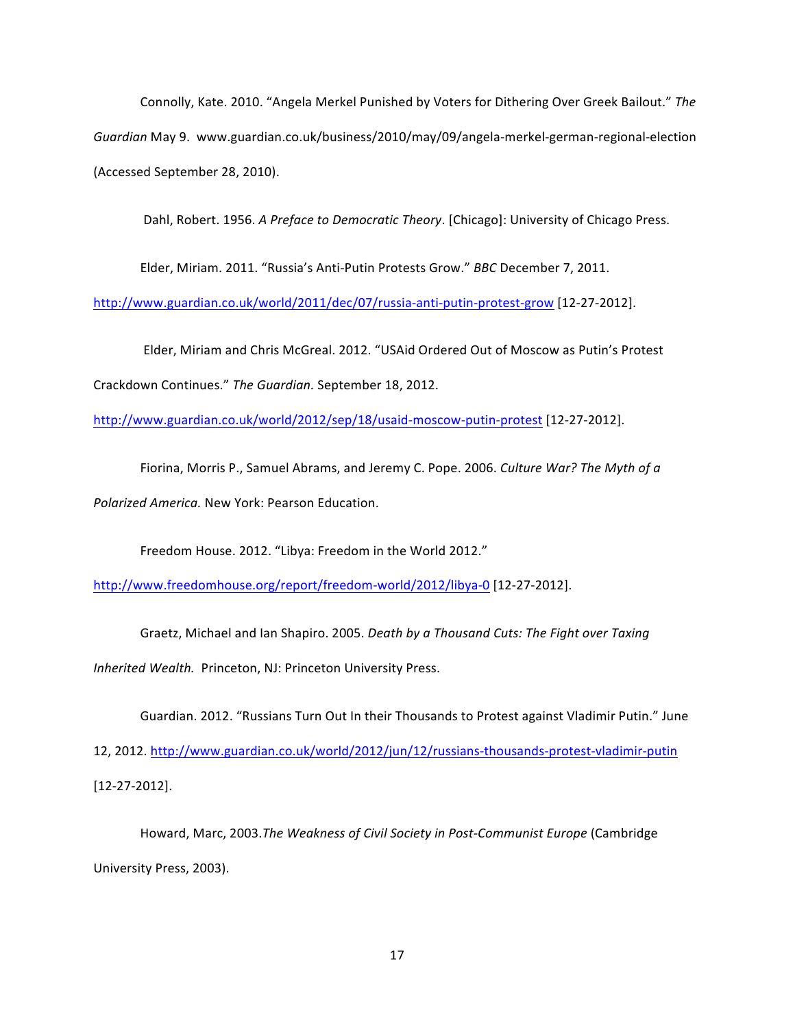Connolly, Kate. 2010. "Angela Merkel Punished by Voters for Dithering Over Greek Bailout." The *Guardian* May 9. www.guardian.co.uk/business/2010/may/09/angela-merkel-german-regional-election (Accessed September 28, 2010).

Dahl, Robert. 1956. A Preface to Democratic Theory. [Chicago]: University of Chicago Press.

Elder, Miriam. 2011. "Russia's Anti-Putin Protests Grow." BBC December 7, 2011.

http://www.guardian.co.uk/world/2011/dec/07/russia-anti-putin-protest-grow [12-27-2012].

Elder, Miriam and Chris McGreal. 2012. "USAid Ordered Out of Moscow as Putin's Protest Crackdown Continues." The Guardian. September 18, 2012.

http://www.guardian.co.uk/world/2012/sep/18/usaid-moscow-putin-protest [12-27-2012].

Fiorina, Morris P., Samuel Abrams, and Jeremy C. Pope. 2006. *Culture War? The Myth of a Polarized America.* New York: Pearson Education.

Freedom House. 2012. "Libya: Freedom in the World 2012."

http://www.freedomhouse.org/report/freedom-world/2012/libya-0 [12-27-2012].

Graetz, Michael and Ian Shapiro. 2005. *Death by a Thousand Cuts: The Fight over Taxing Inherited Wealth.* Princeton, NJ: Princeton University Press.

Guardian. 2012. "Russians Turn Out In their Thousands to Protest against Vladimir Putin." June

12, 2012. http://www.guardian.co.uk/world/2012/jun/12/russians-thousands-protest-vladimir-putin [12-27-2012].

Howard, Marc, 2003.*The Weakness of Civil Society in Post-Communist Europe* (Cambridge University Press, 2003).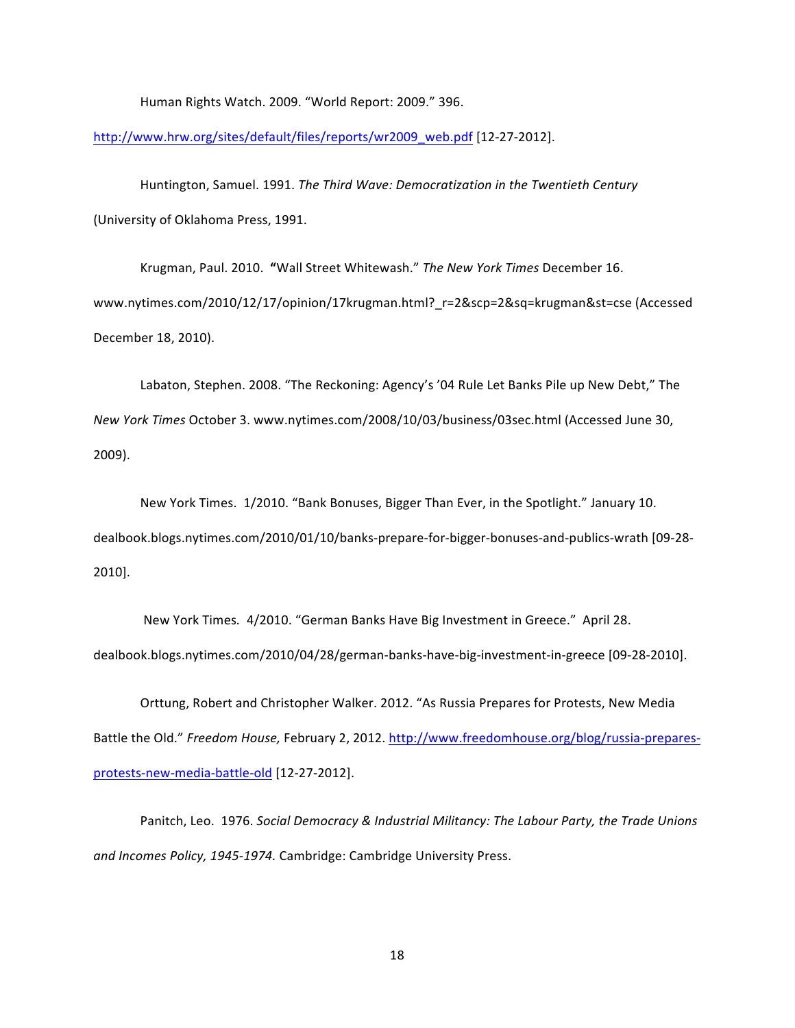Human Rights Watch. 2009. "World Report: 2009." 396.

http://www.hrw.org/sites/default/files/reports/wr2009\_web.pdf [12-27-2012].

Huntington, Samuel. 1991. *The Third Wave: Democratization in the Twentieth Century* (University of Oklahoma Press, 1991.

Krugman, Paul. 2010. "Wall Street Whitewash." The New York Times December 16. www.nytimes.com/2010/12/17/opinion/17krugman.html?\_r=2&scp=2&sq=krugman&st=cse (Accessed December 18, 2010).

Labaton, Stephen. 2008. "The Reckoning: Agency's '04 Rule Let Banks Pile up New Debt," The *New York Times* October 3. www.nytimes.com/2008/10/03/business/03sec.html (Accessed June 30, 2009). 

New York Times. 1/2010. "Bank Bonuses, Bigger Than Ever, in the Spotlight." January 10. dealbook.blogs.nytimes.com/2010/01/10/banks-prepare-for-bigger-bonuses-and-publics-wrath [09-28- 2010]. 

New York Times. 4/2010. "German Banks Have Big Investment in Greece." April 28. dealbook.blogs.nytimes.com/2010/04/28/german-banks-have-big-investment-in-greece [09-28-2010].

Orttung, Robert and Christopher Walker. 2012. "As Russia Prepares for Protests, New Media Battle the Old." *Freedom House,* February 2, 2012. http://www.freedomhouse.org/blog/russia-preparesprotests-new-media-battle-old [12-27-2012]. 

Panitch, Leo. 1976. Social Democracy & Industrial Militancy: The Labour Party, the Trade Unions and Incomes Policy, 1945-1974. Cambridge: Cambridge University Press.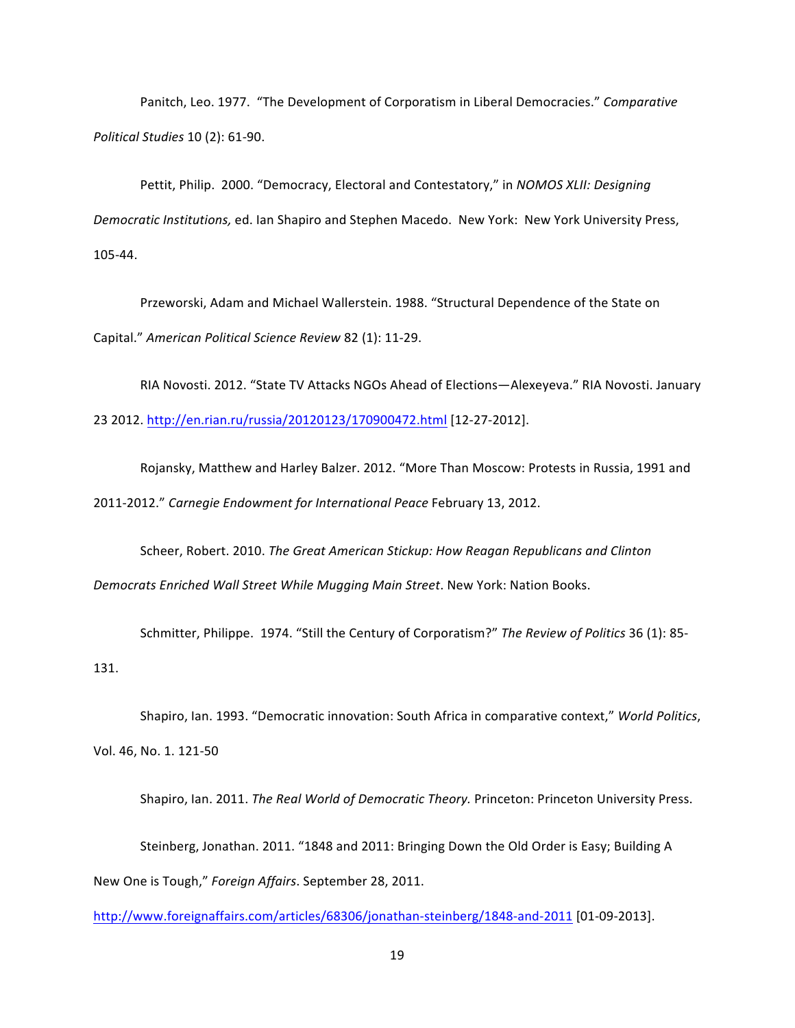Panitch, Leo. 1977. "The Development of Corporatism in Liberal Democracies." Comparative *Political Studies* 10 (2): 61-90. 

Pettit, Philip. 2000. "Democracy, Electoral and Contestatory," in *NOMOS XLII: Designing* Democratic Institutions, ed. Ian Shapiro and Stephen Macedo. New York: New York University Press, 105-44.

Przeworski, Adam and Michael Wallerstein. 1988. "Structural Dependence of the State on Capital." *American Political Science Review* 82 (1): 11-29.

RIA Novosti. 2012. "State TV Attacks NGOs Ahead of Elections—Alexeyeva." RIA Novosti. January 23 2012. http://en.rian.ru/russia/20120123/170900472.html [12-27-2012].

Rojansky, Matthew and Harley Balzer. 2012. "More Than Moscow: Protests in Russia, 1991 and 2011-2012." Carnegie Endowment for International Peace February 13, 2012.

Scheer, Robert. 2010. *The Great American Stickup: How Reagan Republicans and Clinton* Democrats Enriched Wall Street While Mugging Main Street. New York: Nation Books.

Schmitter, Philippe. 1974. "Still the Century of Corporatism?" The Review of Politics 36 (1): 85-131.

Shapiro, Ian. 1993. "Democratic innovation: South Africa in comparative context," *World Politics*, Vol. 46, No. 1. 121-50

Shapiro, Ian. 2011. The Real World of Democratic Theory. Princeton: Princeton University Press.

Steinberg, Jonathan. 2011. "1848 and 2011: Bringing Down the Old Order is Easy; Building A New One is Tough," Foreign Affairs. September 28, 2011.

http://www.foreignaffairs.com/articles/68306/jonathan-steinberg/1848-and-2011 [01-09-2013].